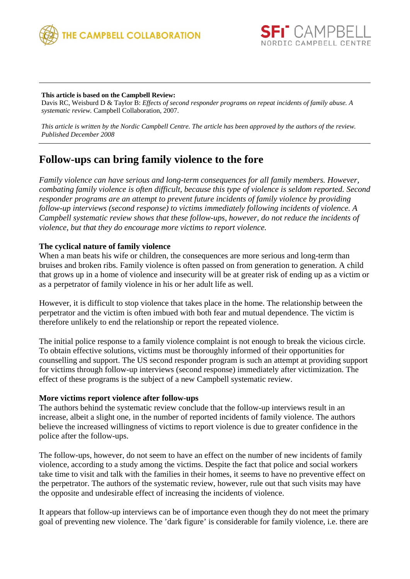



## **This article is based on the Campbell Review:**

Davis RC, Weisburd D & Taylor B: *Effects of second responder programs on repeat incidents of family abuse. A systematic review.* Campbell Collaboration, 2007.

*This article is written by the Nordic Campbell Centre. The article has been approved by the authors of the review. Published December 2008*

# **Follow-ups can bring family violence to the fore**

*Family violence can have serious and long-term consequences for all family members. However, combating family violence is often difficult, because this type of violence is seldom reported. Second responder programs are an attempt to prevent future incidents of family violence by providing follow-up interviews (second response) to victims immediately following incidents of violence. A Campbell systematic review shows that these follow-ups, however, do not reduce the incidents of violence, but that they do encourage more victims to report violence.* 

## **The cyclical nature of family violence**

When a man beats his wife or children, the consequences are more serious and long-term than bruises and broken ribs. Family violence is often passed on from generation to generation. A child that grows up in a home of violence and insecurity will be at greater risk of ending up as a victim or as a perpetrator of family violence in his or her adult life as well.

However, it is difficult to stop violence that takes place in the home. The relationship between the perpetrator and the victim is often imbued with both fear and mutual dependence. The victim is therefore unlikely to end the relationship or report the repeated violence.

The initial police response to a family violence complaint is not enough to break the vicious circle. To obtain effective solutions, victims must be thoroughly informed of their opportunities for counselling and support. The US second responder program is such an attempt at providing support for victims through follow-up interviews (second response) immediately after victimization. The effect of these programs is the subject of a new Campbell systematic review.

#### **More victims report violence after follow-ups**

The authors behind the systematic review conclude that the follow-up interviews result in an increase, albeit a slight one, in the number of reported incidents of family violence. The authors believe the increased willingness of victims to report violence is due to greater confidence in the police after the follow-ups.

The follow-ups, however, do not seem to have an effect on the number of new incidents of family violence, according to a study among the victims. Despite the fact that police and social workers take time to visit and talk with the families in their homes, it seems to have no preventive effect on the perpetrator. The authors of the systematic review, however, rule out that such visits may have the opposite and undesirable effect of increasing the incidents of violence.

It appears that follow-up interviews can be of importance even though they do not meet the primary goal of preventing new violence. The 'dark figure' is considerable for family violence, i.e. there are